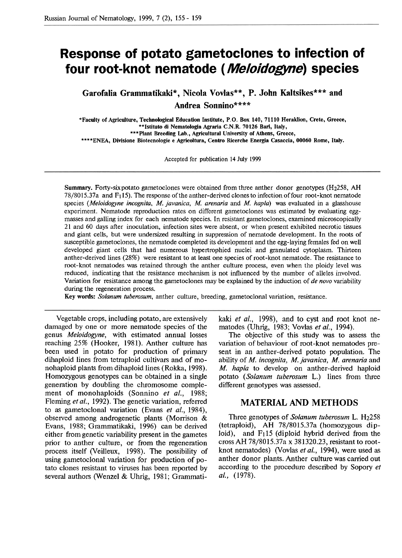# **Response of potato gametoclones to infection of four root-knot nematode (***Meloidogyne***) species**

**Garofalia Grammatikaki\*, Nicola Vovlas\*\*, P. John Kaltsikes\*\*\* and Andrea Sonnino\*\*** \* \*

**\*Faculty of Agriculture, Technological Education Institute, P.O. Box 140, 71110 Heraklion, Crete, Greece, \*\*Istituto di Nematologia Agraria C.N.R. 70126 Bari, Italy, \*\*\*Plant Breeding Lab., Agricultural University of Athens, Greece,** 

\*\*\*\*ENEA, Divisione Biotecnologie e Agricoltura, Centro Ricerche Energia Casaccia, 00060 Rome, Italy.

Accepted for publication 14 **July** 1999

**Summary.** Forty-sixpotato gametoclones were obtained from three anther donor genotypes (H2258, AH 78/8015.37a and F115). The response of the anther-derived clones to infection of four root-knot nematode species (Meloidogyne incognita, M. javanica, M. arenaria and M. hapla) was evaluated in a glasshouse experiment. Nematode reproduction rates on different gametoclones was estimated by evaluating eggmasses and galling index for each nematode species. In resistant gametoclones, examined microscopically 21 and 60 days after inoculation, infection sites were absent, or when present exhibited necrotic tissues and giant cells, but were undersized resulting in suppression of nematode development. In the roots of susceptible gametoclones, the nematode completed its development and the egg-laying females fed on well developed giant cells that had numerous hypertrophied nuclei and granulated cytoplasm. Thirteen anther-derived lines (28%) were resistant to at least one species of root-knot nematode. The resistance to root-knot nematodes was retained through the anther culture process, even when the ploidy level was reduced, indicating that the resistance mechanism is not influenced by the number of alleles involved. Variation for resistance among the gametoclones may be explained by the induction of *de novo* variability during the regeneration process.

**Key words:** Solanum tuberosum, anther culture, breeding, gametoclonal variation, resistance.

Vegetable crops, including potato, are extensively damaged by one or more nematode species of the genus Meloidogyne, with estimated annual losses reaching 25% (Hooker, 1981). Anther culture has been used in potato for production of primary dihaploid lines from tetraploid cultivars and of monohaploid plants from dihaploid lines (Rokka, 1998). Homozygous genotypes can be obtained in a single generation by doubling the chromosome complement of monohaploids (Sonnino et al., 1988; Fleming et al., 1992). The genetic variation, referred to as gametoclonal variation (Evans et al., 1984), observed among androgenetic plants (Morrison & Evans, 1988; Grammatikaki, 1996) can be derived either from genetic variability present in the gametes prior to anther culture, or from the regeneration process itself (Veilleux, 1998). The possibility of using gametoclonal variation for production of potato clones resistant to viruses has been reported by several authors (Wenzel & Uhrig, 1981; Grammatikaki et al., 1998), and to cyst and root knot nematodes (Uhrig, 1983; Vovlas et al., 1994).

The objective of this study was to assess the variation of behaviour of root-knot nematodes present in an anther-derived potato population. The ability of M. incognita, M. javanica, M. arenaria and M. hapla to develop on anther-derived haploid potato (Solanum tuberosum L.) lines from three different genotypes was assessed.

### **MATERIAL AND METHODS**

Three genotypes of Solanum tuberosum L. H<sub>2</sub>258 (tetraploid), AH 78/8015.37a (homozygous diploid), and  $F<sub>1</sub>15$  (diploid hybrid derived from the cross AH 78/8015.37a x 381320.23, resistant to rootknot nematodes) (Vovlas et al., 1994), were used as anther donor plants. Anther culture was carried out according to the procedure described by Sopory et al., (1978).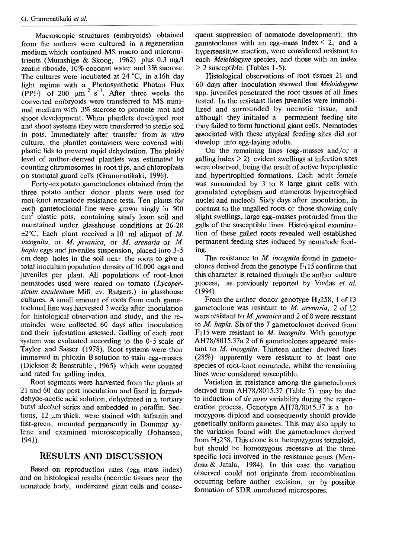Macroscopic structures (embryoids) obtained from the anthers were cultured in a regeneration medium which contained MS macro and micronutrients (Murashige & Skoog, 1962) plus 0.3 mg/l zeatin riboside, 10% coconut water and 3% sucrose. The cultures were incubated at 24 °C, in a 16h day light regime with a Photosynthetic Photon Flux (PPF) of 200  $\mu$ m<sup>-2</sup> s<sup>-1</sup>. After three weeks the converted embryoids were transferred to MS minimal medium with 3% sucrose to promote root and shoot development. When plantlets developed root and shoot systems they were transferred to sterile soil in pots. Immediately after transfer from in vitro culture, the plantlet containers were covered with plastic lids to prevent rapid dehydration. The ploidy level of anther-derived plantlets was estimated by counting chromosomes in root tips, and chloroplasts on stomata1 guard cells (Grammatikaki, 1996).

Forty-sixpotato gametoclones obtained from the three potato anther donor plants were used for root-knot nematode resistance tests. Ten plants for each gametoclonal line were grown singly in 500  $cm<sup>3</sup>$  plastic pots, containing sandy loam soil and maintained under glasshouse conditions at 26-28  $\pm 2^{\circ}$ C. Each plant received a 10 ml aliquot of M. incognita, or M. javanica, or M. arenaria or M. hapla eggs and juveniles suspension, placed into 3-5 cm deep holes in the soil near the roots to give a total inoculurn population density of 10,000 eggs and juveniles per plant. All populations of root-knot nematodes used were reared on tomato (Lycopersicum esculentum Mill. cv. Rutgers.) in glasshouse cultures. A small amount of roots from each gametoclonal line was harvested 3 weeks after inoculation for histological observation and study, and the remainder were collected 60 days after inoculation and their infestation assessed. Galling of each root system was evaluated according to the 0-5 scale of Taylor and Sasser (1978). Root systems were then immersed in phloxin B solution to stain egg-masses (Dickson & Benstruble , 1965) which were counted and rated for galling index.

Root segments were harvested from the plants at 21 and 60 day post inoculation and fixed in formaldehyde-acetic acid solution, dehydrated in a tertiary butyl alcohol series and embedded in parafin. Sections,  $12 \mu m$  thick, were stained with safranin and fast-green, mounted permanently in Dammar xylene and examined microscopically (Johansen, 1941).

## **RESULTS AND DISCUSSION**

Based on reproduction rates (egg mass index) and on histological results (necrotic tissues near the nematode body, undersized giant cells and consequent suppression of nematode development), the gametoclones with an egg-mass index  $\leq$  2, and a hypersensitive reaction, were considered resistant to each *Meloidogyne* species, and those with an index > 2 susceptible. (Tables 1-5).

Histological observations of root tissues 21 and  $60$  days after inoculation showed that Meloidogyne spp. juveniles penetrated the root tissues of all lines tested. In the resistant lines juveniles were immobilized and surrounded by necrotic tissue, and although they initiated a permanent feeding site they failed to form functional giant cells. Nematodes associated with these atypical feeding sites did not develop into egg-laying adults.

On the remaining lines (egg-masses and/or a galling index  $> 2$ ) evident swellings at infection sites were observed, being the result of active hyperplastic and hypertrophied formations. Each adult female was surrounded by 3 to 8 large giant cells with granulated cytoplasm and numerous hypertrophied nuclei and nucleoli. Sixty days after inoculation, in contrast to the ungalled roots or those showing only slight swellings, large egg-masses protruded from the galls of the susceptible lines. Histological exarnination of these galled roots revealed well-established permanent feeding sites induced by nematode feeding.

The resistance to  $M$ . *incognita* found in gametoclones derived from the genotype  $F<sub>1</sub>15$  confirms that this character is retained through the anther culture process, as previously reported by Vovlas et al. (1994).

From the anther donor genotype H<sub>2</sub>258, 1 of 13 gametoclone was resistant to  $M$ . *arenaria*, 2 of 12 were resistant to M. javanica and 2 of 8 were resistant to M. hapla. Sixof the 7 gametoclones derived from  $F<sub>1</sub>15$  were resistant to *M. incognita*. With genotype AH78/8015.37a 2 of 6 gametoclones appeared resistant to M. incognita. Thirteen anther derived lines (28%) apparently were resistant to at least one species of root-knot nematode, whilst the remaining lines were considered susceptible.

Variation in resistance among the gametoclones derived from AH78/8015.37 (Table 5) may be due to induction of de novo variability during the regeneration process. Genotype AH78/8015.37 is a homozygous diploid and consequently should provide genetically uniform gametes. This may also apply to the variation found with the gametoclones derived from H2258. This clone is a heterozygous tetraploid. but should be homozygous recessive at the three specific loci involved in the resistance genes (Mendosa & Jatala, 1984). In this case the variation observed could not originate from recombination occurring before anther excision, or by possible formation of SDR unreduced microspores.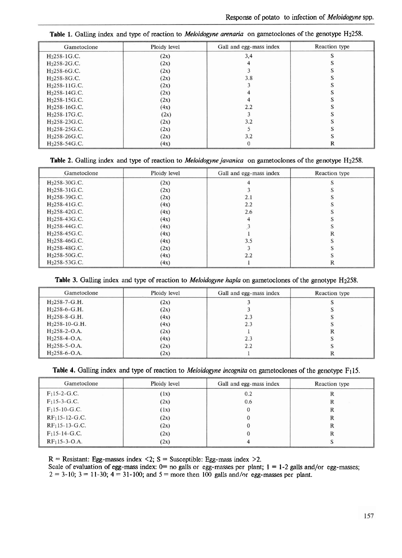| Gametoclone               | Ploidy level | Gall and egg-mass index | Reaction type |
|---------------------------|--------------|-------------------------|---------------|
| $H2258-1G.C.$             | (2x)         | 3,4                     |               |
| $H2258-2G.C.$             | (2x)         |                         |               |
| $H2258-6G.C.$             | (2x)         |                         |               |
| $H2258-8G.C.$             | (2x)         | 3.8                     |               |
| $H2258-11G.C.$            | (2x)         |                         |               |
| $H2258-14G.C.$            | (2x)         |                         |               |
| $H2258-15G.C.$            | (2x)         |                         |               |
| H <sub>2</sub> 258-16G.C. | (4x)         | 2.2                     |               |
| $H2258-17G.C.$            | (2x)         |                         |               |
| H <sub>2</sub> 258-23G.C. | (2x)         | 3.2                     |               |
| $H2258-25G.C.$            | (2x)         |                         |               |
| $H2258-26G.C.$            | (2x)         | 3.2                     |               |
| $H2258-54G.C.$            | (4x)         |                         | R             |

**Table 1.** Galling index and type of reaction to *Meloidogyne arenaria* on gametoclones of the genotype H2258.

#### **Table 2.** Galling index and type of reaction to *Meloidogyne javanica* on gametoclones of the genotype H2258.

| Gametoclone               | Ploidy level | Gall and egg-mass index | Reaction type |
|---------------------------|--------------|-------------------------|---------------|
| $H2258-30G.C.$            | (2x)         |                         |               |
| $H2258-31G.C.$            | (2x)         |                         |               |
| H <sub>2</sub> 258-39G.C. | (2x)         | 2.1                     |               |
| $H2258-41G.C.$            | (4x)         | 2.2                     |               |
| $H2258-42G.C.$            | (4x)         | 2.6                     |               |
| H <sub>2</sub> 258-43G.C. | (4x)         |                         |               |
| $H2258-44G.C.$            | (4x)         |                         |               |
| H <sub>2</sub> 258-45G.C. | (4x)         |                         |               |
| $H2258-46G.C.$            | (4x)         | 3.5                     |               |
| $H2258-48G.C.$            | (2x)         |                         |               |
| $H2258-50G.C.$            | (4x)         | 2.2                     |               |
| $H2258-53G.C.$            | (4x)         |                         | R             |

#### **Table 3.** Galling index and type of reaction to *Meloidogyne hapla* on gametoclones of the genotype H2258.

| Gametoclone     | Ploidy level | Gall and egg-mass index | Reaction type |
|-----------------|--------------|-------------------------|---------------|
| $H2258-7-G.H.$  | (2x)         |                         |               |
| $H2258-6-G.H.$  | (2x)         |                         |               |
| $H2258-8-G.H.$  | (4x)         | 2.3                     |               |
| $H2258-10-G.H.$ | (4x)         | 2.3                     |               |
| $H2258-2-O.A.$  | (2x)         |                         |               |
| $H2258-4-O.A.$  | (4x)         | 2.3                     |               |
| $H2258-5-O.A.$  | (2x)         | 2.2                     |               |
| $H2258-6-O.A.$  | (2x)         |                         |               |

#### Table 4. Galling index and type of reaction to *Meloidogyne incognita* on gametoclones of the genotype F<sub>1</sub>15.

| Gametoclone     | Ploidy level | Gall and egg-mass index | Reaction type |
|-----------------|--------------|-------------------------|---------------|
| $F_1$ 15-2-G.C. | (1x)         | 0.2                     |               |
| $F115-3-G.C.$   | (2x)         | 0.6                     |               |
| $F115-10-G.C.$  | (1x)         | 0                       | к             |
| $RF115-12-G.C.$ | (2x)         |                         |               |
| $RF115-13-G.C.$ | (2x)         | O                       | ĸ             |
| $F115-14-G.C.$  | (2x)         |                         | ĸ             |
| $RF115-3-O.A.$  | (2x)         |                         |               |

 $R$  = Resistant: Egg-masses index  $\langle 2; S$  = Susceptible: Egg-mass index  $\geq 2$ .

Scale of evaluation of egg-mass index: **0=** no galls or egg-masses per plant; 1 = 1-2 galls and/or egg-masses;  $2 = 3 - 10$ ;  $3 = 11 - 30$ ;  $4 = 31 - 100$ ; and  $5 =$  more then 100 galls and/or egg-masses per plant.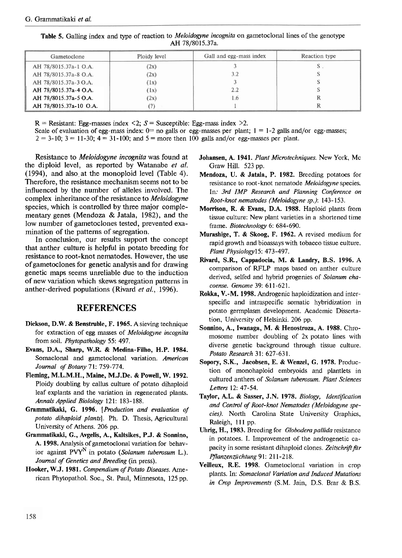Table 5. Galling index and type of reaction to *Meloidogyne incognita* on gametoclonal lines of the genotype AH 78/8015.37a.

| Gametoclone            | Ploidy level | Gall and egg-mass index | Reaction type |
|------------------------|--------------|-------------------------|---------------|
| AH 78/8015.37a-1 O.A.  | (2x)         |                         |               |
| AH 78/8015.37a-8 O.A.  | (2x)         | 3.2                     |               |
| AH 78/8015.37a-3 O.A.  | (1x)         |                         |               |
| AH 78/8015.37a-4 O.A.  | (1x)         | 2.2                     |               |
| AH 78/8015.37a-5 O.A.  | (2x)         | 1.6                     |               |
| AH 78/8015.37a-10 O.A. |              |                         |               |

 $R =$  Resistant: Egg-masses index <2;  $S =$  Susceptible: Egg-mass index >2.

Scale of evaluation of egg-mass index:  $0=$  no galls or egg-masses per plant;  $1 = 1-2$  galls and/or egg-masses;  $2 = 3-10$ ;  $3 = 11-30$ ;  $4 = 31-100$ ; and  $5 =$  more then 100 galls and/or egg-masses per plant.

Resistance to *Meloidogyne incognita* was found at the diploid level, as reported by Watanabe *et al.*  (1994), and also.at the monoploid level (Table 4). Therefore, the resistance mechanism seems not to be influenced by the number of alleles involved. The complex inheritance of the resistance to *Meloidogyne*  species, which is controlled by three major complementary genes (Mendoza & Jatala, 1982), and the low number of gametoclones tested, prevented examination of the patterns of segregation.

In conclusion, our results support the concept that anther culture is helpful in potato breeding for resistance to root-knot nematodes. However, the use of gametoclones for genetic analysis and for drawing genetic maps seems unreliable due to the induction of new variation which skews segregation patterns in anther-derived populations (Rivard *et al.,* 1996).

#### **REFERENCES**

- **Dickson, D.W.** & **Benstruble, F. 1965.** Asieving technique for extraction of egg masses of Meloidogyne incognita from soil. Phytopathology 55: 497.
- **Evans, D.A., Sharp, W.R.** & **Media-Fiho, H.P. 1984.**  Somaclonal and gametoclonal variation. American Journal of Botany 71: 759-774.
- **Fleming, M.L.M.H., Maine, MJ.De.** & **Powell, W. 1992.**  Ploidy doubling by callus culture of potato dihaploid leaf explants and the variation in regenerated plants. Annals Applied Biolology 121: 183-188.
- **Grammatikaki, G. 1996.** [Production and evaluation of potato dihaploid plants]. Ph. D. Thesis, Agricultural University of Athens. 206 pp.
- **Grammatikaki, G., Avgelis, A., Kaltsikes, PJ.** & **Sonnino, A. 1998.** Analysis of gametoclonal variation for behavior against  $PVT^N$  in potato (Solanum tuberosum L.). Journal of Genetics and Breeding (in press).
- Hooker, W.J. 1981. *Compendium of Potato Diseases*. American Phytopathol. Soc., St. Paul, Minnesota, 125 pp.
- **Johansen, A. 1941.** Plant Microtechniques. New York, Mc Graw Hill. 523 pp.
- **Mendoza, U.** & **Jatala, P. 1982.** Breeding potatoes for resistance to root-knot nematode Meloidogyne species. In: 3rd IMP Research and Planning Conference on Root-knot nematodes (Meloidogyne sp.): 143- 153.
- **Morrison, R.** & **Evans, D.A. 1988.** Haploid plants from tissue culture: New plant varieties in a shortened time frame. Biotechnology 6: 684-690.
- **Murashige,** T. & **Skoog, F. 1962.** A revised medium for rapid growth and bioassays with tobacco tissue culture. Plant Physiologyl5: 473-497.
- **Rivard, S.R., Cappadocia, M.** & **Landry, B.S. 1996. A**  comparison of RFLP maps based on anther culture derived, selfed and hybrid progenies of Solanum chacoense. Genome 39: 611-621.
- **Rokka, V.-M. 1998.** Androgenic haploidization and interspecific and intraspecific somatic hybridization in potato germplasm development. Academic Dissertation, University of Helsinki. 206 pp.
- **Sonnino, A., Iwanaga, M.** & **Henostroza, A. 1988.** Chromosome number doubling of 2x potato lines with diverse genetic background through tissue culture. Potato Research 31: 627-631.
- **Sopory, S.K., Jacobsen, E.** & **Wenzel, G. 1978.** Production of monohaploid embryoids and plantlets in cultured anthers of Solanum tuberosum. Plant Sciences Letters 12: 47-54.
- **Taylor, A.L.** & **Sasser, J.N. 1978.** Biology, Identification and Control of Root-knot Nematodes (Meloidogyne species). North Carolina State University Graphics, Raleigh, 111 pp.
- Uhrig, H., 1983. Breeding for Globodera pallida resistance in potatoes. I. Improvement of the androgenetic capacity in some resistant dihaploid clones. Zeitschrift für Pflanzenzüchtung 91: 211-218.
- **Veilleux, R.E. 1998.** Gametoclonal variation in crop plants. In: Somaclonal Variation and Induced Mutations in Crop Improvements  $(S.M.$  Jain, D.S. Brar & B.S.